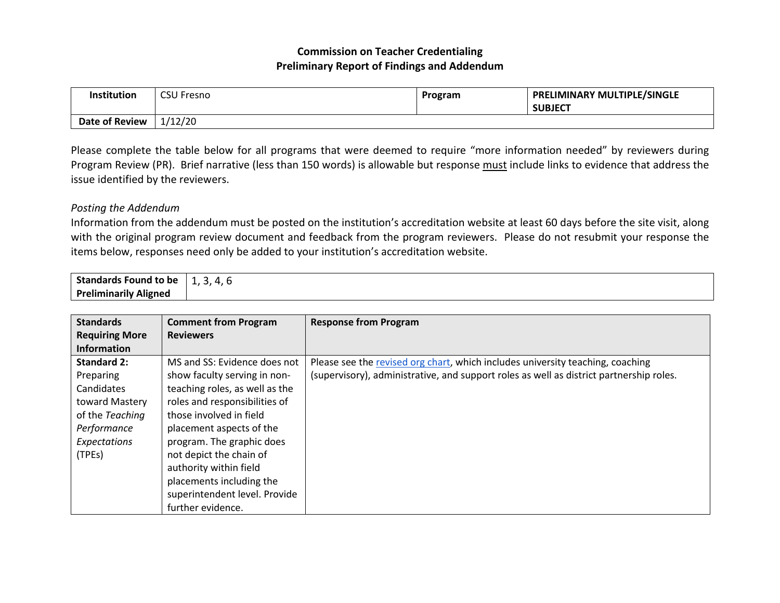## **Commission on Teacher Credentialing Preliminary Report of Findings and Addendum**

| <b>Institution</b>    | <b>CSU Fresno</b> | Program | PRELIMINARY MULTIPLE/SINGLE<br><b>SUBJECT</b> |
|-----------------------|-------------------|---------|-----------------------------------------------|
| <b>Date of Review</b> | 1/12/20           |         |                                               |

Please complete the table below for all programs that were deemed to require "more information needed" by reviewers during Program Review (PR). Brief narrative (less than 150 words) is allowable but response must include links to evidence that address the issue identified by the reviewers.

## *Posting the Addendum*

Information from the addendum must be posted on the institution's accreditation website at least 60 days before the site visit, along with the original program review document and feedback from the program reviewers. Please do not resubmit your response the items below, responses need only be added to your institution's accreditation website.

| <b>Standards Found to be</b> | ٮ<br>- . |
|------------------------------|----------|
| <b>Preliminarily Aligned</b> |          |

| <b>Standards</b>      | <b>Comment from Program</b>    | <b>Response from Program</b>                                                            |
|-----------------------|--------------------------------|-----------------------------------------------------------------------------------------|
| <b>Requiring More</b> | <b>Reviewers</b>               |                                                                                         |
| <b>Information</b>    |                                |                                                                                         |
| <b>Standard 2:</b>    | MS and SS: Evidence does not   | Please see the revised org chart, which includes university teaching, coaching          |
| Preparing             | show faculty serving in non-   | (supervisory), administrative, and support roles as well as district partnership roles. |
| Candidates            | teaching roles, as well as the |                                                                                         |
| toward Mastery        | roles and responsibilities of  |                                                                                         |
| of the Teaching       | those involved in field        |                                                                                         |
| Performance           | placement aspects of the       |                                                                                         |
| Expectations          | program. The graphic does      |                                                                                         |
| (TPEs)                | not depict the chain of        |                                                                                         |
|                       | authority within field         |                                                                                         |
|                       | placements including the       |                                                                                         |
|                       | superintendent level. Provide  |                                                                                         |
|                       | further evidence.              |                                                                                         |